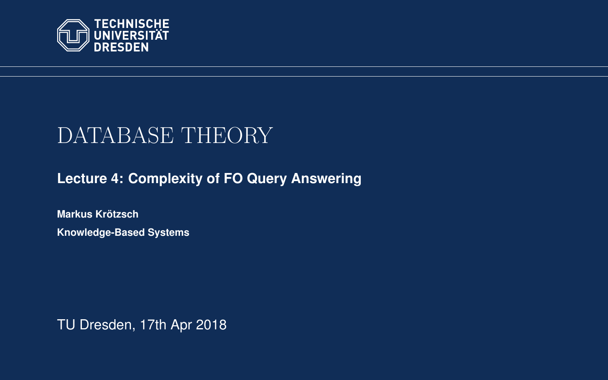<span id="page-0-0"></span>

# DATABASE THEORY

**[Lecture 4: Complexity of FO Query Answering](https://iccl.inf.tu-dresden.de/web/Database_Theory_(SS2018))**

**[Markus Krotzsch](https://iccl.inf.tu-dresden.de/web/Markus_Kr%C3%B6tzsch/en) ¨ Knowledge-Based Systems**

TU Dresden, 17th Apr 2018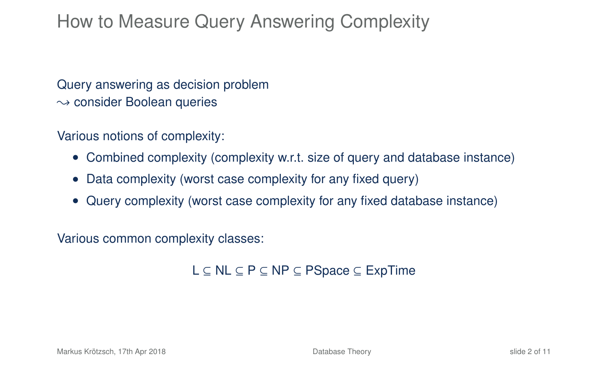#### How to Measure Query Answering Complexity

Query answering as decision problem  $\rightsquigarrow$  consider Boolean queries

Various notions of complexity:

- Combined complexity (complexity w.r.t. size of query and database instance)
- Data complexity (worst case complexity for any fixed query)
- Query complexity (worst case complexity for any fixed database instance)

Various common complexity classes:

L ⊆ NL ⊆ P ⊆ NP ⊆ PSpace ⊆ ExpTime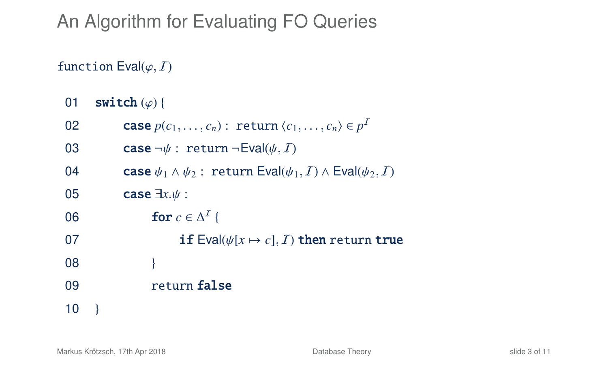## An Algorithm for Evaluating FO Queries

#### function  $Eval(\varphi, I)$

01 switch  $(\varphi)$  {

| 02 | <b>case</b> $p(c_1, \ldots, c_n)$ : <b>return</b> $\langle c_1, \ldots, c_n \rangle \in p^I$                 |
|----|--------------------------------------------------------------------------------------------------------------|
| 03 | <b>case</b> $\neg \psi$ : return $\neg$ Eval( $\psi$ , <i>I</i> )                                            |
| 04 | <b>case</b> $\psi_1 \wedge \psi_2$ : return Eval $(\psi_1, \mathcal{I}) \wedge$ Eval $(\psi_2, \mathcal{I})$ |
| 05 | case $\exists x.\psi$ :                                                                                      |
| 06 | for $c \in \Delta^I$ {                                                                                       |
| 07 | <b>if</b> Eval $(\psi[x \mapsto c], I)$ then return true                                                     |
| 08 |                                                                                                              |
| 09 | return false                                                                                                 |
| 10 |                                                                                                              |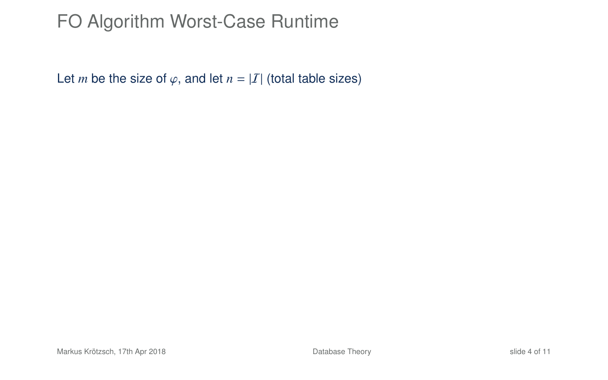### FO Algorithm Worst-Case Runtime

Let *m* be the size of  $\varphi$ , and let  $n = |I|$  (total table sizes)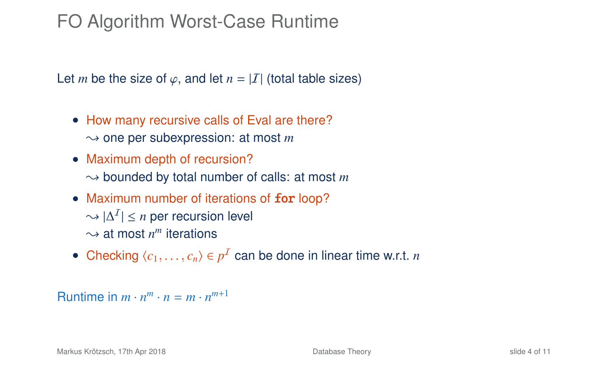### FO Algorithm Worst-Case Runtime

Let *m* be the size of  $\varphi$ , and let  $n = |I|$  (total table sizes)

- How many recursive calls of Eval are there?  $\rightarrow$  one per subexpression: at most *m*
- Maximum depth of recursion?  $\rightarrow$  bounded by total number of calls: at most *m*
- Maximum number of iterations of for loop?  $\leadsto |\Delta^I| \leq n$  per recursion level  $\sim$  at most  $n^m$  iterations
- Checking  $\langle c_1, \ldots, c_n \rangle \in p^I$  can be done in linear time w.r.t. *n*

Runtime in  $m \cdot n^m \cdot n = m \cdot n^{m+1}$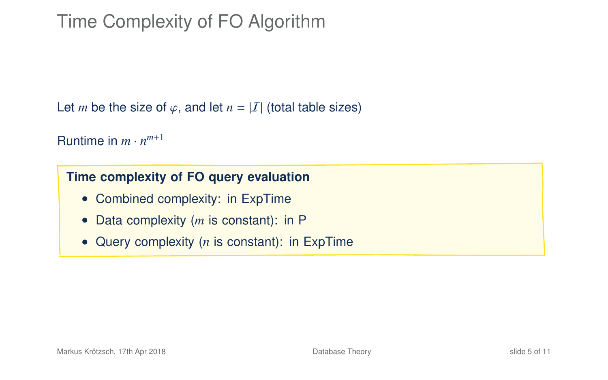### Time Complexity of FO Algorithm

Let *m* be the size of  $\varphi$ , and let  $n = |I|$  (total table sizes)

Runtime in  $m \cdot n^{m+1}$ 

#### **Time complexity of FO query evaluation**

- Combined complexity: in ExpTime
- Data complexity (*m* is constant): in P
- Query complexity (*n* is constant): in ExpTime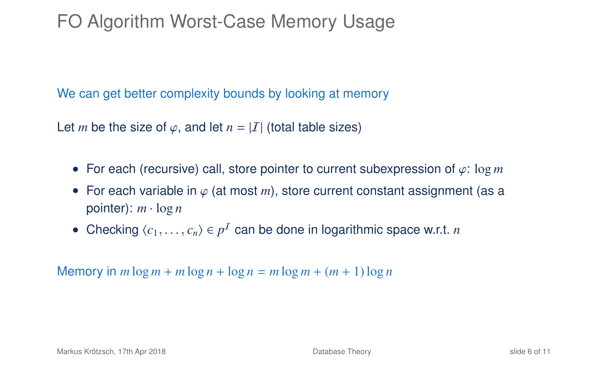### FO Algorithm Worst-Case Memory Usage

We can get better complexity bounds by looking at memory

Let *m* be the size of  $\varphi$ , and let  $n = |I|$  (total table sizes)

- For each (recursive) call, store pointer to current subexpression of ϕ: log *<sup>m</sup>*
- For each variable in  $\varphi$  (at most *m*), store current constant assignment (as a pointer):  $m \cdot \log n$
- Checking  $\langle c_1, \ldots, c_n \rangle \in p^I$  can be done in logarithmic space w.r.t. *n*

Memory in  $m \log m + m \log n + \log n = m \log m + (m + 1) \log n$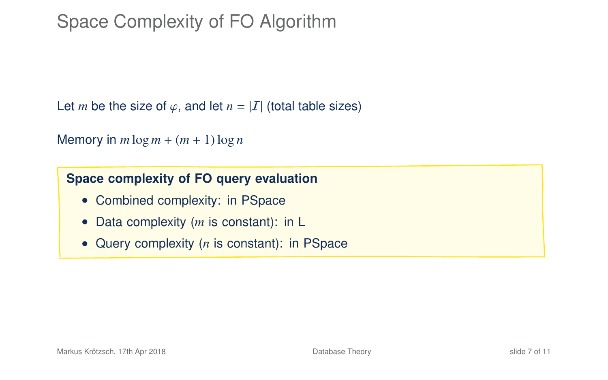### Space Complexity of FO Algorithm

Let *m* be the size of  $\varphi$ , and let  $n = |I|$  (total table sizes)

```
Memory in m \log m + (m + 1) \log n
```
#### **Space complexity of FO query evaluation**

- Combined complexity: in PSpace
- Data complexity (*m* is constant): in L
- Query complexity (*n* is constant): in PSpace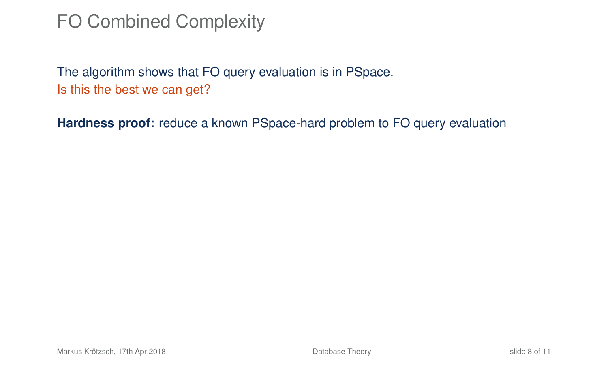#### FO Combined Complexity

The algorithm shows that FO query evaluation is in PSpace. Is this the best we can get?

**Hardness proof:** reduce a known PSpace-hard problem to FO query evaluation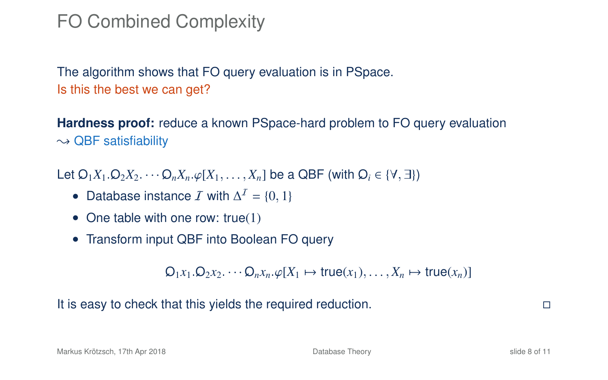#### FO Combined Complexity

The algorithm shows that FO query evaluation is in PSpace. Is this the best we can get?

**Hardness proof:** reduce a known PSpace-hard problem to FO query evaluation  $\sim$  QBF satisfiability

Let  $Q_1X_1$ ,  $Q_2X_2$ ,  $\cdots$ ,  $Q_nX_n$ ,  $\varphi[X_1,\ldots,X_n]$  be a QBF (with  $Q_i \in \{V, \exists\}$ )

- Database instance  $\mathcal I$  with  $\Delta^{\mathcal I} = \{0, 1\}$
- One table with one row: true(1)
- Transform input QBF into Boolean FO query

 $Q_1x_1, Q_2x_2, \cdots, Q_nx_n, \varphi[X_1 \mapsto \text{true}(x_1), \ldots, X_n \mapsto \text{true}(x_n)$ 

It is easy to check that this yields the required reduction.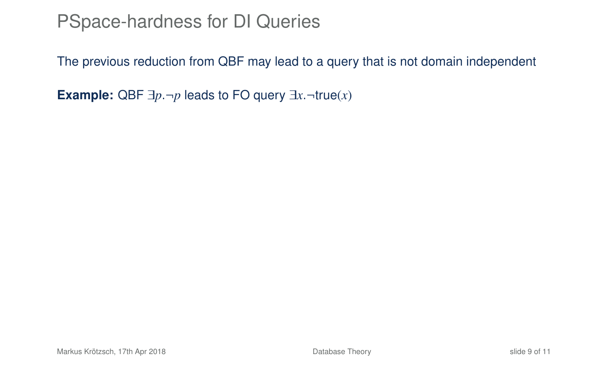#### PSpace-hardness for DI Queries

The previous reduction from QBF may lead to a query that is not domain independent

**Example:** QBF  $\exists p \neg p$  leads to FO query  $\exists x \neg true(x)$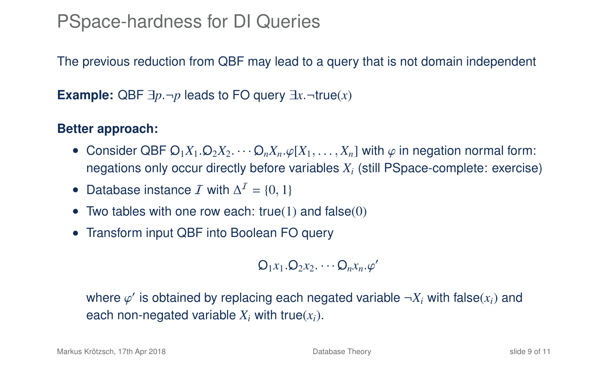#### PSpace-hardness for DI Queries

The previous reduction from QBF may lead to a query that is not domain independent

**Example:** QBF  $\exists p \neg p$  leads to FO query  $\exists x \neg true(x)$ 

#### **Better approach:**

- Consider QBF  $\mathcal{Q}_1X_1 \cdot \mathcal{Q}_2X_2 \cdot \cdot \cdot \mathcal{Q}_nX_n \cdot \varphi[X_1, \ldots, X_n]$  with  $\varphi$  in negation normal form: negations only occur directly before variables *X<sup>i</sup>* (still PSpace-complete: exercise)
- Database instance  $\mathcal I$  with  $\Delta^{\mathcal I} = \{0, 1\}$
- Two tables with one row each: true(1) and false(0)
- Transform input QBF into Boolean FO query

 $Q_1x_1 \cdot Q_2x_2 \cdot \cdot \cdot Q_nx_n \cdot \varphi'$ 

where  $\varphi'$  is obtained by replacing each negated variable  $\neg X_i$  with false( $x_i$ ) and each non-negated variable  $X_i$  with true $(x_i)$ .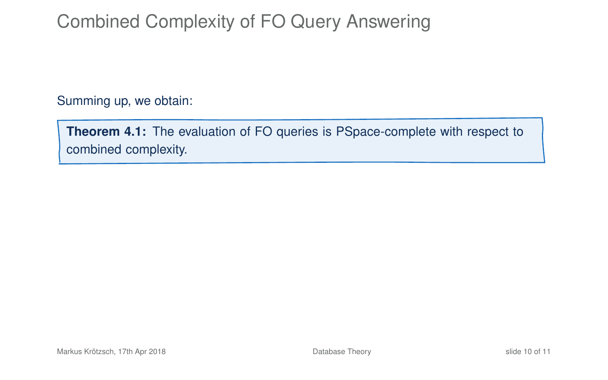### Combined Complexity of FO Query Answering

Summing up, we obtain:

**Theorem 4.1:** The evaluation of FO queries is PSpace-complete with respect to combined complexity.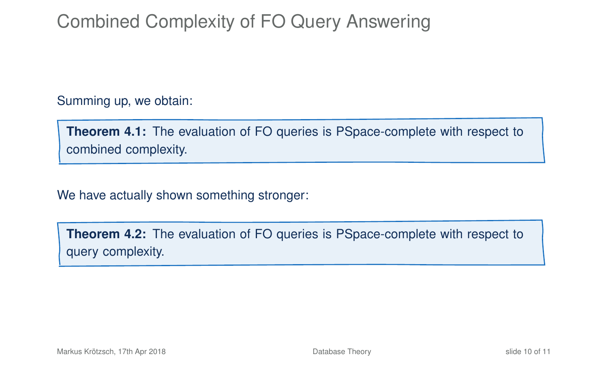### Combined Complexity of FO Query Answering

Summing up, we obtain:

**Theorem 4.1:** The evaluation of FO queries is PSpace-complete with respect to combined complexity.

We have actually shown something stronger:

**Theorem 4.2:** The evaluation of FO queries is PSpace-complete with respect to query complexity.